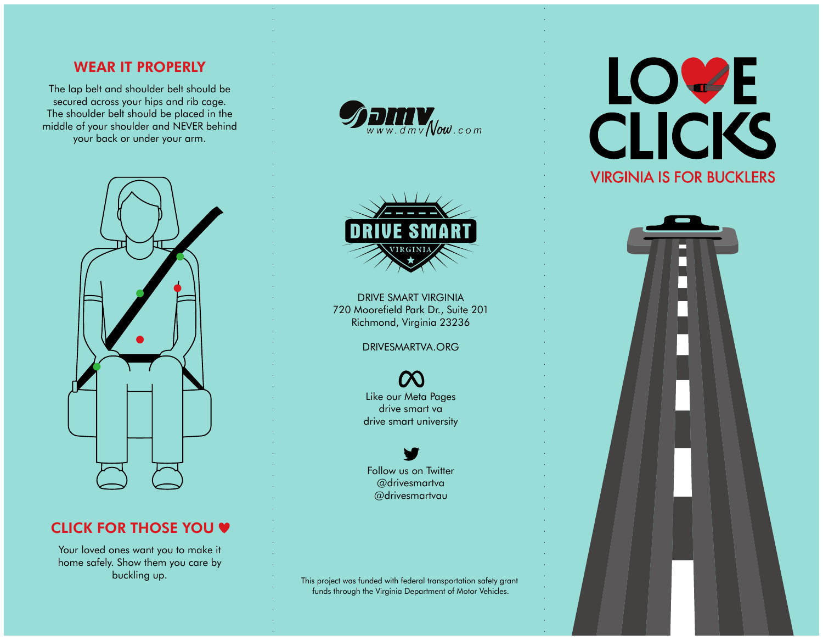## WEAR IT PROPERLY

The lap belt and shoulder belt should be secured across your hips and rib cage. The shoulder belt should be placed in the middle of your shoulder and NEVER behind your back or under your arm.



# CLICK FOR THOSE YOU  $\blacklozenge$

Your loved ones want you to make it home safely. Show them you care by buckling up.





DRIVE SMART VIRGINIA 720 Moorefield Park Dr., Suite 201 Richmond, Virginia 23236

DRIVESMARTVA.ORG

Like our Meta Pages drive smart va drive smart university

Follow us on Twitter @drivesmartva @drivesmartvau

This project was funded with federal transportation safety grant funds through the Virginia Department of Motor Vehicles.